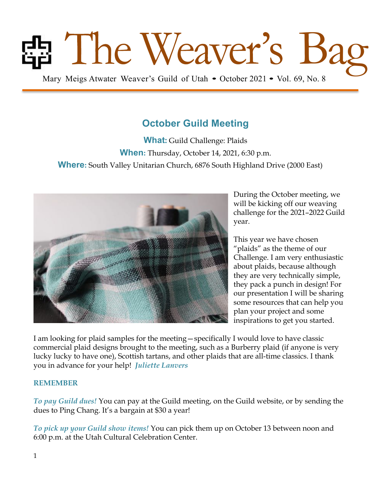# Bag Mary Meigs Atwater Weaver's Guild of Utah • October 2021 • Vol. 69, No. 8

**October Guild Meeting**

**What:** Guild Challenge: Plaids **When:** Thursday, October 14, 2021, 6:30 p.m. **Where:** South Valley Unitarian Church, 6876 South Highland Drive (2000 East)



During the October meeting, we will be kicking off our weaving challenge for the 2021–2022 Guild year.

This year we have chosen "plaids" as the theme of our Challenge. I am very enthusiastic about plaids, because although they are very technically simple, they pack a punch in design! For our presentation I will be sharing some resources that can help you plan your project and some inspirations to get you started.

I am looking for plaid samples for the meeting—specifically I would love to have classic commercial plaid designs brought to the meeting, such as a Burberry plaid (if anyone is very lucky lucky to have one), Scottish tartans, and other plaids that are all-time classics. I thank you in advance for your help! *Juliette Lanvers*

#### **REMEMBER**

*To pay Guild dues!* You can pay at the Guild meeting, on the Guild website, or by sending the dues to Ping Chang. It's a bargain at \$30 a year!

*To pick up your Guild show items!* You can pick them up on October 13 between noon and 6:00 p.m. at the Utah Cultural Celebration Center.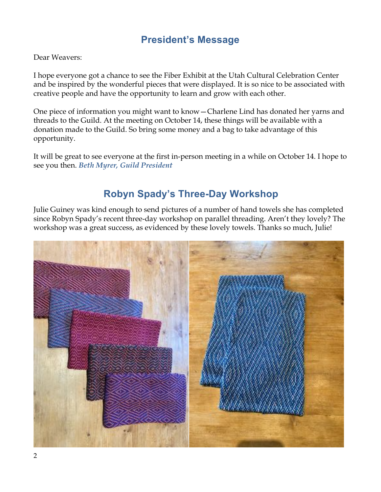## **President's Message**

Dear Weavers:

I hope everyone got a chance to see the Fiber Exhibit at the Utah Cultural Celebration Center and be inspired by the wonderful pieces that were displayed. It is so nice to be associated with creative people and have the opportunity to learn and grow with each other.

One piece of information you might want to know—Charlene Lind has donated her yarns and threads to the Guild. At the meeting on October 14, these things will be available with a donation made to the Guild. So bring some money and a bag to take advantage of this opportunity.

It will be great to see everyone at the first in-person meeting in a while on October 14. I hope to see you then. *Beth Myrer, Guild President* 

## **Robyn Spady's Three-Day Workshop**

Julie Guiney was kind enough to send pictures of a number of hand towels she has completed since Robyn Spady's recent three-day workshop on parallel threading. Aren't they lovely? The workshop was a great success, as evidenced by these lovely towels. Thanks so much, Julie!

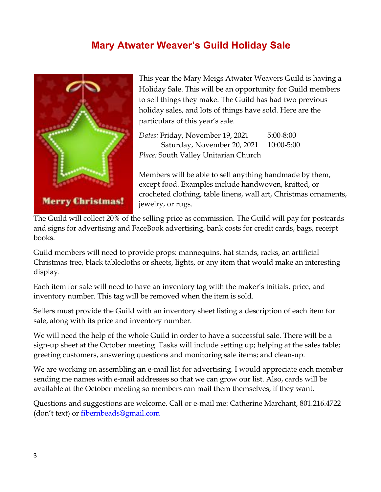## **Mary Atwater Weaver's Guild Holiday Sale**



This year the Mary Meigs Atwater Weavers Guild is having a Holiday Sale. This will be an opportunity for Guild members to sell things they make. The Guild has had two previous holiday sales, and lots of things have sold. Here are the particulars of this year's sale.

*Dates:* Friday, November 19, 2021 5:00-8:00 Saturday, November 20, 2021 10:00-5:00 *Place:* South Valley Unitarian Church

Members will be able to sell anything handmade by them, except food. Examples include handwoven, knitted, or crocheted clothing, table linens, wall art, Christmas ornaments, jewelry, or rugs.

The Guild will collect 20% of the selling price as commission. The Guild will pay for postcards and signs for advertising and FaceBook advertising, bank costs for credit cards, bags, receipt books.

Guild members will need to provide props: mannequins, hat stands, racks, an artificial Christmas tree, black tablecloths or sheets, lights, or any item that would make an interesting display.

Each item for sale will need to have an inventory tag with the maker's initials, price, and inventory number. This tag will be removed when the item is sold.

Sellers must provide the Guild with an inventory sheet listing a description of each item for sale, along with its price and inventory number.

We will need the help of the whole Guild in order to have a successful sale. There will be a sign-up sheet at the October meeting. Tasks will include setting up; helping at the sales table; greeting customers, answering questions and monitoring sale items; and clean-up.

We are working on assembling an e-mail list for advertising. I would appreciate each member sending me names with e-mail addresses so that we can grow our list. Also, cards will be available at the October meeting so members can mail them themselves, if they want.

Questions and suggestions are welcome. Call or e-mail me: Catherine Marchant, 801.216.4722 (don't text) or fibernbeads@gmail.com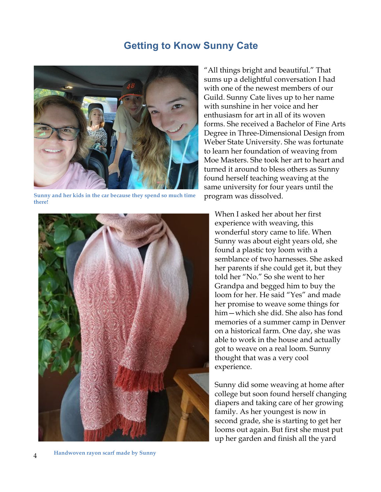## **Getting to Know Sunny Cate**



**Sunny and her kids in the car because they spend so much time there!**



"All things bright and beautiful." That sums up a delightful conversation I had with one of the newest members of our Guild. Sunny Cate lives up to her name with sunshine in her voice and her enthusiasm for art in all of its woven forms. She received a Bachelor of Fine Arts Degree in Three-Dimensional Design from Weber State University. She was fortunate to learn her foundation of weaving from Moe Masters. She took her art to heart and turned it around to bless others as Sunny found herself teaching weaving at the same university for four years until the program was dissolved.

When I asked her about her first experience with weaving, this wonderful story came to life. When Sunny was about eight years old, she found a plastic toy loom with a semblance of two harnesses. She asked her parents if she could get it, but they told her "No." So she went to her Grandpa and begged him to buy the loom for her. He said "Yes" and made her promise to weave some things for him—which she did. She also has fond memories of a summer camp in Denver on a historical farm. One day, she was able to work in the house and actually got to weave on a real loom. Sunny thought that was a very cool experience.

Sunny did some weaving at home after college but soon found herself changing diapers and taking care of her growing family. As her youngest is now in second grade, she is starting to get her looms out again. But first she must put up her garden and finish all the yard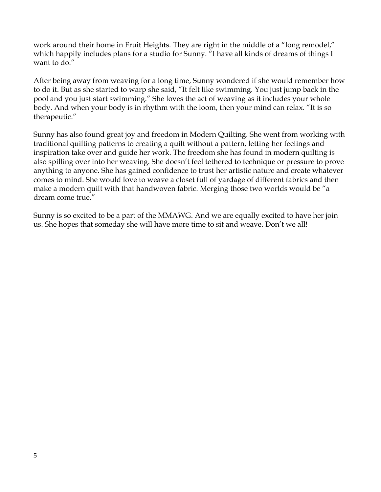work around their home in Fruit Heights. They are right in the middle of a "long remodel," which happily includes plans for a studio for Sunny. "I have all kinds of dreams of things I want to do."

After being away from weaving for a long time, Sunny wondered if she would remember how to do it. But as she started to warp she said, "It felt like swimming. You just jump back in the pool and you just start swimming." She loves the act of weaving as it includes your whole body. And when your body is in rhythm with the loom, then your mind can relax. "It is so therapeutic."

Sunny has also found great joy and freedom in Modern Quilting. She went from working with traditional quilting patterns to creating a quilt without a pattern, letting her feelings and inspiration take over and guide her work. The freedom she has found in modern quilting is also spilling over into her weaving. She doesn't feel tethered to technique or pressure to prove anything to anyone. She has gained confidence to trust her artistic nature and create whatever comes to mind. She would love to weave a closet full of yardage of different fabrics and then make a modern quilt with that handwoven fabric. Merging those two worlds would be "a dream come true."

Sunny is so excited to be a part of the MMAWG. And we are equally excited to have her join us. She hopes that someday she will have more time to sit and weave. Don't we all!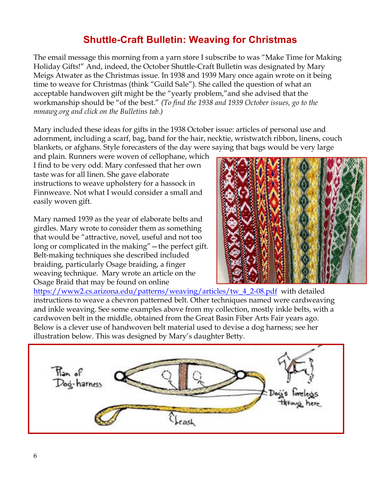## **Shuttle-Craft Bulletin: Weaving for Christmas**

The email message this morning from a yarn store I subscribe to was "Make Time for Making Holiday Gifts!" And, indeed, the October Shuttle-Craft Bulletin was designated by Mary Meigs Atwater as the Christmas issue. In 1938 and 1939 Mary once again wrote on it being time to weave for Christmas (think "Guild Sale"). She called the question of what an acceptable handwoven gift might be the "yearly problem,"and she advised that the workmanship should be "of the best." *(To find the 1938 and 1939 October issues, go to the mmawg.org and click on the Bulletins tab.)*

Mary included these ideas for gifts in the 1938 October issue: articles of personal use and adornment, including a scarf, bag, band for the hair, necktie, wristwatch ribbon, linens, couch blankets, or afghans. Style forecasters of the day were saying that bags would be very large

and plain. Runners were woven of cellophane, which I find to be very odd. Mary confessed that her own taste was for all linen. She gave elaborate instructions to weave upholstery for a hassock in Finnweave. Not what I would consider a small and easily woven gift.

Mary named 1939 as the year of elaborate belts and girdles. Mary wrote to consider them as something that would be "attractive, novel, useful and not too long or complicated in the making"—the perfect gift. Belt-making techniques she described included braiding, particularly Osage braiding, a finger weaving technique. Mary wrote an article on the Osage Braid that may be found on online



https://www2.cs.arizona.edu/patterns/weaving/articles/tw\_4\_2-08.pdf with detailed instructions to weave a chevron patterned belt. Other techniques named were cardweaving and inkle weaving. See some examples above from my collection, mostly inkle belts, with a cardwoven belt in the middle, obtained from the Great Basin Fiber Arts Fair years ago. Below is a clever use of handwoven belt material used to devise a dog harness; see her illustration below. This was designed by Mary's daughter Betty.

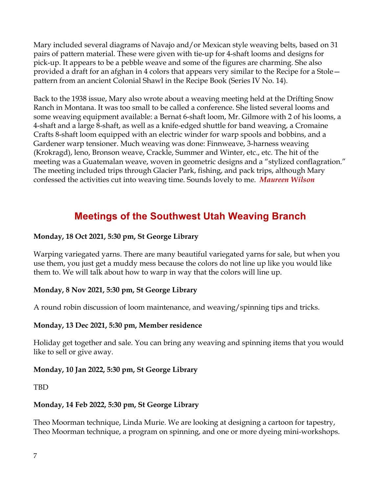Mary included several diagrams of Navajo and/or Mexican style weaving belts, based on 31 pairs of pattern material. These were given with tie-up for 4-shaft looms and designs for pick-up. It appears to be a pebble weave and some of the figures are charming. She also provided a draft for an afghan in 4 colors that appears very similar to the Recipe for a Stole pattern from an ancient Colonial Shawl in the Recipe Book (Series IV No. 14).

Back to the 1938 issue, Mary also wrote about a weaving meeting held at the Drifting Snow Ranch in Montana. It was too small to be called a conference. She listed several looms and some weaving equipment available: a Bernat 6-shaft loom, Mr. Gilmore with 2 of his looms, a 4-shaft and a large 8-shaft, as well as a knife-edged shuttle for band weaving, a Cromaine Crafts 8-shaft loom equipped with an electric winder for warp spools and bobbins, and a Gardener warp tensioner. Much weaving was done: Finnweave, 3-harness weaving (Krokragd), leno, Bronson weave, Crackle, Summer and Winter, etc., etc. The hit of the meeting was a Guatemalan weave, woven in geometric designs and a "stylized conflagration." The meeting included trips through Glacier Park, fishing, and pack trips, although Mary confessed the activities cut into weaving time. Sounds lovely to me. *Maureen Wilson*

## **Meetings of the Southwest Utah Weaving Branch**

#### **Monday, 18 Oct 2021, 5:30 pm, St George Library**

Warping variegated yarns. There are many beautiful variegated yarns for sale, but when you use them, you just get a muddy mess because the colors do not line up like you would like them to. We will talk about how to warp in way that the colors will line up.

## **Monday, 8 Nov 2021, 5:30 pm, St George Library**

A round robin discussion of loom maintenance, and weaving/spinning tips and tricks.

## **Monday, 13 Dec 2021, 5:30 pm, Member residence**

Holiday get together and sale. You can bring any weaving and spinning items that you would like to sell or give away.

## **Monday, 10 Jan 2022, 5:30 pm, St George Library**

TBD

## **Monday, 14 Feb 2022, 5:30 pm, St George Library**

Theo Moorman technique, Linda Murie. We are looking at designing a cartoon for tapestry, Theo Moorman technique, a program on spinning, and one or more dyeing mini-workshops.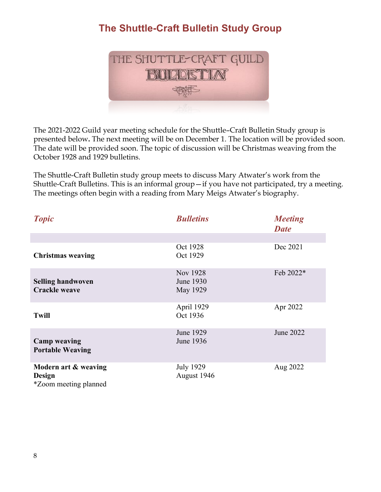# **The Shuttle-Craft Bulletin Study Group**



The 2021-2022 Guild year meeting schedule for the Shuttle–Craft Bulletin Study group is presented below**.** The next meeting will be on December 1. The location will be provided soon. The date will be provided soon. The topic of discussion will be Christmas weaving from the October 1928 and 1929 bulletins.

The Shuttle-Craft Bulletin study group meets to discuss Mary Atwater's work from the Shuttle-Craft Bulletins. This is an informal group—if you have not participated, try a meeting. The meetings often begin with a reading from Mary Meigs Atwater's biography.

| <b>Topic</b>                                                   | <b>Bulletins</b>                  | <b>Meeting</b><br><b>Date</b> |
|----------------------------------------------------------------|-----------------------------------|-------------------------------|
|                                                                |                                   |                               |
| <b>Christmas weaving</b>                                       | Oct 1928<br>Oct 1929              | Dec 2021                      |
| <b>Selling handwoven</b><br><b>Crackle weave</b>               | Nov 1928<br>June 1930<br>May 1929 | Feb 2022*                     |
| <b>Twill</b>                                                   | April 1929<br>Oct 1936            | Apr 2022                      |
| <b>Camp weaving</b><br><b>Portable Weaving</b>                 | June 1929<br>June 1936            | June 2022                     |
| Modern art & weaving<br>Design<br><i>*Zoom meeting planned</i> | <b>July 1929</b><br>August 1946   | Aug 2022                      |